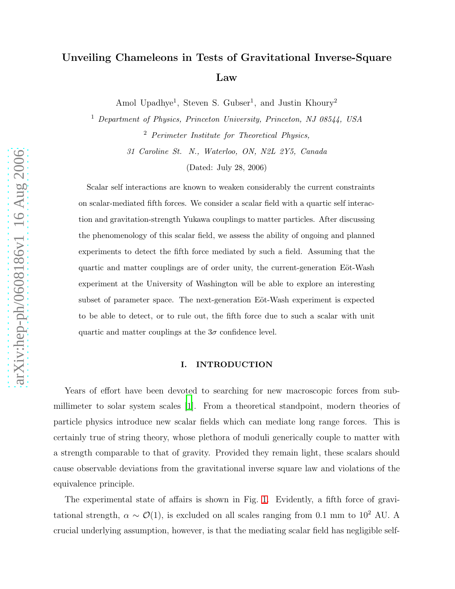# Unveiling Chameleons in Tests of Gravitational Inverse-Square Law

Amol Upadhye<sup>1</sup>, Steven S. Gubser<sup>1</sup>, and Justin Khoury<sup>2</sup>

<sup>1</sup> Department of Physics, Princeton University, Princeton, NJ 08544, USA <sup>2</sup> Perimeter Institute for Theoretical Physics, 31 Caroline St. N., Waterloo, ON, N2L 2Y5, Canada

(Dated: July 28, 2006)

Scalar self interactions are known to weaken considerably the current constraints on scalar-mediated fifth forces. We consider a scalar field with a quartic self interaction and gravitation-strength Yukawa couplings to matter particles. After discussing the phenomenology of this scalar field, we assess the ability of ongoing and planned experiments to detect the fifth force mediated by such a field. Assuming that the quartic and matter couplings are of order unity, the current-generation Eöt-Wash experiment at the University of Washington will be able to explore an interesting subset of parameter space. The next-generation Eöt-Wash experiment is expected to be able to detect, or to rule out, the fifth force due to such a scalar with unit quartic and matter couplings at the  $3\sigma$  confidence level.

## I. INTRODUCTION

Years of effort have been devoted to searching for new macroscopic forces from submillimeter to solar system scales [\[1\]](#page-19-0). From a theoretical standpoint, modern theories of particle physics introduce new scalar fields which can mediate long range forces. This is certainly true of string theory, whose plethora of moduli generically couple to matter with a strength comparable to that of gravity. Provided they remain light, these scalars should cause observable deviations from the gravitational inverse square law and violations of the equivalence principle.

The experimental state of affairs is shown in Fig. [1.](#page-1-0) Evidently, a fifth force of gravitational strength,  $\alpha \sim \mathcal{O}(1)$ , is excluded on all scales ranging from 0.1 mm to 10<sup>2</sup> AU. A crucial underlying assumption, however, is that the mediating scalar field has negligible self-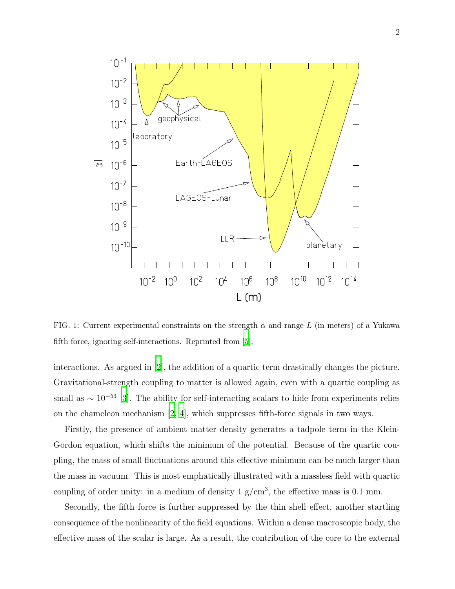

<span id="page-1-0"></span>FIG. 1: Current experimental constraints on the strength  $\alpha$  and range L (in meters) of a Yukawa fifth force, ignoring self-interactions. Reprinted from [\[5\]](#page-19-1).

interactions. As argued in [\[2\]](#page-19-2), the addition of a quartic term drastically changes the picture. Gravitational-strength coupling to matter is allowed again, even with a quartic coupling as small as  $\sim 10^{-53}$  [\[3\]](#page-19-3). The ability for self-interacting scalars to hide from experiments relies on the chameleon mechanism [\[2,](#page-19-2) [4\]](#page-19-4), which suppresses fifth-force signals in two ways.

Firstly, the presence of ambient matter density generates a tadpole term in the Klein-Gordon equation, which shifts the minimum of the potential. Because of the quartic coupling, the mass of small fluctuations around this effective minimum can be much larger than the mass in vacuum. This is most emphatically illustrated with a massless field with quartic coupling of order unity: in a medium of density  $1 \text{ g/cm}^3$ , the effective mass is 0.1 mm.

Secondly, the fifth force is further suppressed by the thin shell effect, another startling consequence of the nonlinearity of the field equations. Within a dense macroscopic body, the effective mass of the scalar is large. As a result, the contribution of the core to the external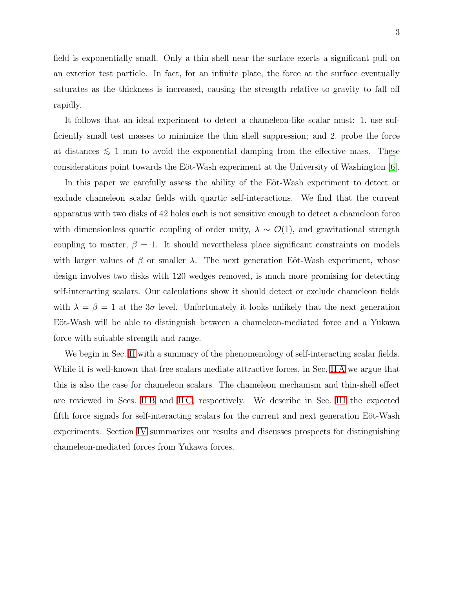field is exponentially small. Only a thin shell near the surface exerts a significant pull on an exterior test particle. In fact, for an infinite plate, the force at the surface eventually saturates as the thickness is increased, causing the strength relative to gravity to fall off rapidly.

It follows that an ideal experiment to detect a chameleon-like scalar must: 1. use sufficiently small test masses to minimize the thin shell suppression; and 2. probe the force at distances  $\leq 1$  mm to avoid the exponential damping from the effective mass. These considerations point towards the Eöt-Wash experiment at the University of Washington [\[6\]](#page-19-5).

In this paper we carefully assess the ability of the Eöt-Wash experiment to detect or exclude chameleon scalar fields with quartic self-interactions. We find that the current apparatus with two disks of 42 holes each is not sensitive enough to detect a chameleon force with dimensionless quartic coupling of order unity,  $\lambda \sim O(1)$ , and gravitational strength coupling to matter,  $\beta = 1$ . It should nevertheless place significant constraints on models with larger values of  $\beta$  or smaller  $\lambda$ . The next generation Eöt-Wash experiment, whose design involves two disks with 120 wedges removed, is much more promising for detecting self-interacting scalars. Our calculations show it should detect or exclude chameleon fields with  $\lambda = \beta = 1$  at the  $3\sigma$  level. Unfortunately it looks unlikely that the next generation Eöt-Wash will be able to distinguish between a chameleon-mediated force and a Yukawa force with suitable strength and range.

We begin in Sec. [II](#page-3-0) with a summary of the phenomenology of self-interacting scalar fields. While it is well-known that free scalars mediate attractive forces, in Sec. [II A](#page-3-1) we argue that this is also the case for chameleon scalars. The chameleon mechanism and thin-shell effect are reviewed in Secs. IIB and IIC, respectively. We describe in Sec. [III](#page-11-0) the expected fifth force signals for self-interacting scalars for the current and next generation Eöt-Wash experiments. Section [IV](#page-17-0) summarizes our results and discusses prospects for distinguishing chameleon-mediated forces from Yukawa forces.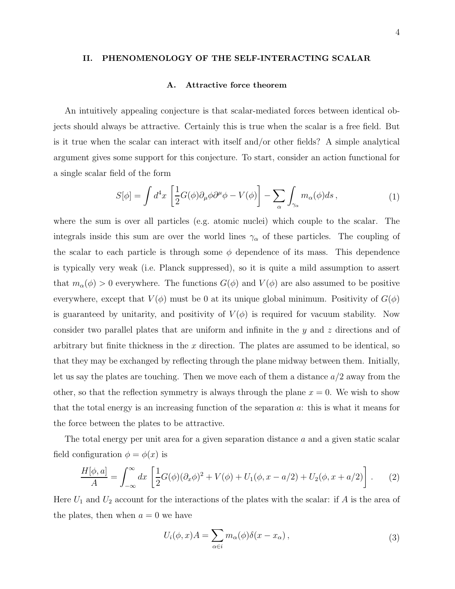# <span id="page-3-1"></span><span id="page-3-0"></span>II. PHENOMENOLOGY OF THE SELF-INTERACTING SCALAR

## A. Attractive force theorem

An intuitively appealing conjecture is that scalar-mediated forces between identical objects should always be attractive. Certainly this is true when the scalar is a free field. But is it true when the scalar can interact with itself and/or other fields? A simple analytical argument gives some support for this conjecture. To start, consider an action functional for a single scalar field of the form

<span id="page-3-4"></span>
$$
S[\phi] = \int d^4x \left[ \frac{1}{2} G(\phi) \partial_\mu \phi \partial^\mu \phi - V(\phi) \right] - \sum_{\alpha} \int_{\gamma_\alpha} m_\alpha(\phi) ds \,, \tag{1}
$$

where the sum is over all particles (e.g. atomic nuclei) which couple to the scalar. The integrals inside this sum are over the world lines  $\gamma_{\alpha}$  of these particles. The coupling of the scalar to each particle is through some  $\phi$  dependence of its mass. This dependence is typically very weak (i.e. Planck suppressed), so it is quite a mild assumption to assert that  $m_{\alpha}(\phi) > 0$  everywhere. The functions  $G(\phi)$  and  $V(\phi)$  are also assumed to be positive everywhere, except that  $V(\phi)$  must be 0 at its unique global minimum. Positivity of  $G(\phi)$ is guaranteed by unitarity, and positivity of  $V(\phi)$  is required for vacuum stability. Now consider two parallel plates that are uniform and infinite in the y and z directions and of arbitrary but finite thickness in the  $x$  direction. The plates are assumed to be identical, so that they may be exchanged by reflecting through the plane midway between them. Initially, let us say the plates are touching. Then we move each of them a distance  $a/2$  away from the other, so that the reflection symmetry is always through the plane  $x = 0$ . We wish to show that the total energy is an increasing function of the separation  $a$ : this is what it means for the force between the plates to be attractive.

The total energy per unit area for a given separation distance a and a given static scalar field configuration  $\phi = \phi(x)$  is

<span id="page-3-3"></span>
$$
\frac{H[\phi, a]}{A} = \int_{-\infty}^{\infty} dx \left[ \frac{1}{2} G(\phi)(\partial_x \phi)^2 + V(\phi) + U_1(\phi, x - a/2) + U_2(\phi, x + a/2) \right].
$$
 (2)

Here  $U_1$  and  $U_2$  account for the interactions of the plates with the scalar: if A is the area of the plates, then when  $a = 0$  we have

<span id="page-3-2"></span>
$$
U_i(\phi, x)A = \sum_{\alpha \in i} m_{\alpha}(\phi)\delta(x - x_{\alpha}), \qquad (3)
$$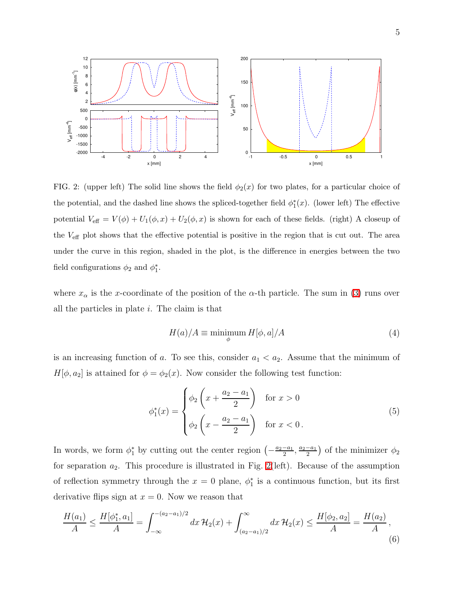

<span id="page-4-0"></span>FIG. 2: (upper left) The solid line shows the field  $\phi_2(x)$  for two plates, for a particular choice of the potential, and the dashed line shows the spliced-together field  $\phi_1^*$  $j_1^*(x)$ . (lower left) The effective potential  $V_{\text{eff}} = V(\phi) + U_1(\phi, x) + U_2(\phi, x)$  is shown for each of these fields. (right) A closeup of the Veff plot shows that the effective potential is positive in the region that is cut out. The area under the curve in this region, shaded in the plot, is the difference in energies between the two field configurations  $\phi_2$  and  $\phi_1^*$  $_{1}^{\ast}$ .

where  $x_{\alpha}$  is the x-coordinate of the position of the  $\alpha$ -th particle. The sum in [\(3\)](#page-3-2) runs over all the particles in plate  $i$ . The claim is that

<span id="page-4-2"></span>
$$
H(a)/A \equiv \min_{\phi} \min H[\phi, a]/A \tag{4}
$$

is an increasing function of a. To see this, consider  $a_1 < a_2$ . Assume that the minimum of  $H[\phi, a_2]$  is attained for  $\phi = \phi_2(x)$ . Now consider the following test function:

<span id="page-4-1"></span>
$$
\phi_1^*(x) = \begin{cases} \phi_2 \left( x + \frac{a_2 - a_1}{2} \right) & \text{for } x > 0 \\ \phi_2 \left( x - \frac{a_2 - a_1}{2} \right) & \text{for } x < 0. \end{cases}
$$
 (5)

In words, we form  $\phi_1^*$  by cutting out the center region  $\left(-\frac{a_2-a_1}{2}\right)$  $\frac{-a_1}{2}, \frac{a_2-a_1}{2}$  $\frac{-a_1}{2}$  of the minimizer  $\phi_2$ for separation  $a_2$ . This procedure is illustrated in Fig. [2\(](#page-4-0)left). Because of the assumption of reflection symmetry through the  $x = 0$  plane,  $\phi_1^*$  $i_1$  is a continuous function, but its first derivative flips sign at  $x = 0$ . Now we reason that

$$
\frac{H(a_1)}{A} \le \frac{H[\phi_1^*, a_1]}{A} = \int_{-\infty}^{-(a_2 - a_1)/2} dx \, \mathcal{H}_2(x) + \int_{(a_2 - a_1)/2}^{\infty} dx \, \mathcal{H}_2(x) \le \frac{H[\phi_2, a_2]}{A} = \frac{H(a_2)}{A},\tag{6}
$$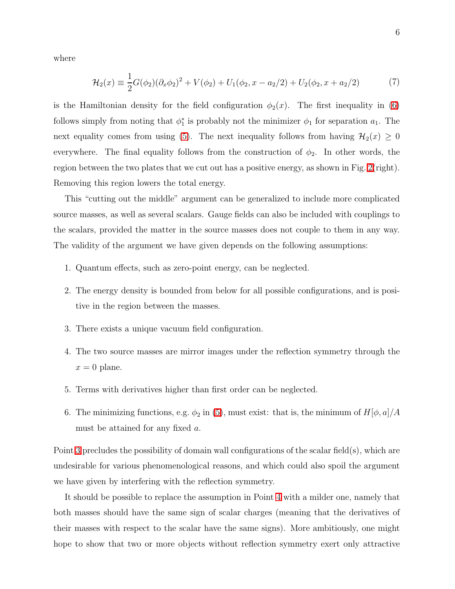<span id="page-5-4"></span>where

$$
\mathcal{H}_2(x) \equiv \frac{1}{2}G(\phi_2)(\partial_x\phi_2)^2 + V(\phi_2) + U_1(\phi_2, x - a_2/2) + U_2(\phi_2, x + a_2/2) \tag{7}
$$

is the Hamiltonian density for the field configuration  $\phi_2(x)$ . The first inequality in [\(6\)](#page-4-1) follows simply from noting that  $\phi_1^*$ <sup>\*</sup><sub>1</sub> is probably not the minimizer  $\phi_1$  for separation  $a_1$ . The next equality comes from using [\(5\)](#page-4-2). The next inequality follows from having  $\mathcal{H}_2(x) \geq 0$ everywhere. The final equality follows from the construction of  $\phi_2$ . In other words, the region between the two plates that we cut out has a positive energy, as shown in Fig. [2\(](#page-4-0)right). Removing this region lowers the total energy.

This "cutting out the middle" argument can be generalized to include more complicated source masses, as well as several scalars. Gauge fields can also be included with couplings to the scalars, provided the matter in the source masses does not couple to them in any way. The validity of the argument we have given depends on the following assumptions:

- 1. Quantum effects, such as zero-point energy, can be neglected.
- <span id="page-5-0"></span>2. The energy density is bounded from below for all possible configurations, and is positive in the region between the masses.
- <span id="page-5-1"></span>3. There exists a unique vacuum field configuration.
- <span id="page-5-2"></span>4. The two source masses are mirror images under the reflection symmetry through the  $x = 0$  plane.
- <span id="page-5-3"></span>5. Terms with derivatives higher than first order can be neglected.
- 6. The minimizing functions, e.g.  $\phi_2$  in [\(5\)](#page-4-2), must exist: that is, the minimum of  $H[\phi, a]/A$ must be attained for any fixed a.

Point [3](#page-5-0) precludes the possibility of domain wall configurations of the scalar field(s), which are undesirable for various phenomenological reasons, and which could also spoil the argument we have given by interfering with the reflection symmetry.

It should be possible to replace the assumption in Point [4](#page-5-1) with a milder one, namely that both masses should have the same sign of scalar charges (meaning that the derivatives of their masses with respect to the scalar have the same signs). More ambitiously, one might hope to show that two or more objects without reflection symmetry exert only attractive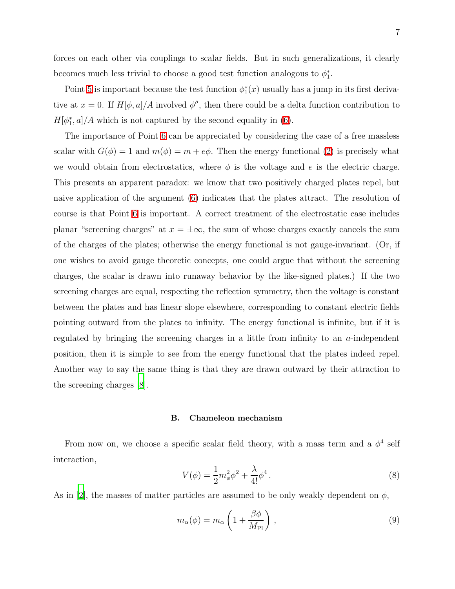forces on each other via couplings to scalar fields. But in such generalizations, it clearly becomes much less trivial to choose a good test function analogous to  $\phi_1^*$  $_{1}^{\ast}$ .

Point [5](#page-5-2) is important because the test function  $\phi_1^*$  $j_1^*(x)$  usually has a jump in its first derivative at  $x = 0$ . If  $H[\phi, a]/A$  involved  $\phi''$ , then there could be a delta function contribution to  $H[\phi_1^*$  $\binom{*}{1}$ , a]/A which is not captured by the second equality in [\(6\)](#page-4-1).

The importance of Point [6](#page-5-3) can be appreciated by considering the case of a free massless scalar with  $G(\phi) = 1$  and  $m(\phi) = m + e\phi$ . Then the energy functional [\(2\)](#page-3-3) is precisely what we would obtain from electrostatics, where  $\phi$  is the voltage and e is the electric charge. This presents an apparent paradox: we know that two positively charged plates repel, but naive application of the argument [\(6\)](#page-4-1) indicates that the plates attract. The resolution of course is that Point [6](#page-5-3) is important. A correct treatment of the electrostatic case includes planar "screening charges" at  $x = \pm \infty$ , the sum of whose charges exactly cancels the sum of the charges of the plates; otherwise the energy functional is not gauge-invariant. (Or, if one wishes to avoid gauge theoretic concepts, one could argue that without the screening charges, the scalar is drawn into runaway behavior by the like-signed plates.) If the two screening charges are equal, respecting the reflection symmetry, then the voltage is constant between the plates and has linear slope elsewhere, corresponding to constant electric fields pointing outward from the plates to infinity. The energy functional is infinite, but if it is regulated by bringing the screening charges in a little from infinity to an a-independent position, then it is simple to see from the energy functional that the plates indeed repel. Another way to say the same thing is that they are drawn outward by their attraction to the screening charges [\[8](#page-19-6)].

## <span id="page-6-0"></span>B. Chameleon mechanism

From now on, we choose a specific scalar field theory, with a mass term and a  $\phi^4$  self interaction,

$$
V(\phi) = \frac{1}{2}m_{\phi}^{2}\phi^{2} + \frac{\lambda}{4!}\phi^{4}.
$$
 (8)

As in [\[2](#page-19-2)], the masses of matter particles are assumed to be only weakly dependent on  $\phi$ ,

$$
m_{\alpha}(\phi) = m_{\alpha} \left( 1 + \frac{\beta \phi}{M_{\text{Pl}}} \right) , \qquad (9)
$$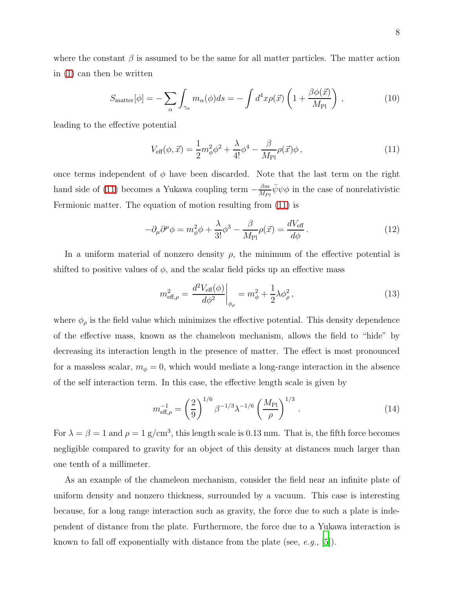where the constant  $\beta$  is assumed to be the same for all matter particles. The matter action in [\(1\)](#page-3-4) can then be written

<span id="page-7-0"></span>
$$
S_{\text{matter}}[\phi] = -\sum_{\alpha} \int_{\gamma_{\alpha}} m_{\alpha}(\phi) ds = -\int d^4 x \rho(\vec{x}) \left( 1 + \frac{\beta \phi(\vec{x})}{M_{\text{Pl}}} \right) , \qquad (10)
$$

leading to the effective potential

<span id="page-7-1"></span>
$$
V_{\text{eff}}(\phi, \vec{x}) = \frac{1}{2}m_{\phi}^{2}\phi^{2} + \frac{\lambda}{4!}\phi^{4} - \frac{\beta}{M_{\text{Pl}}}\rho(\vec{x})\phi, \qquad (11)
$$

once terms independent of  $\phi$  have been discarded. Note that the last term on the right hand side of [\(11\)](#page-7-0) becomes a Yukawa coupling term  $-\frac{\beta m}{M_D}$  $\frac{\beta m}{M_{Pl}} \bar{\psi} \psi \phi$  in the case of nonrelativistic Fermionic matter. The equation of motion resulting from [\(11\)](#page-7-0) is

$$
-\partial_{\mu}\partial^{\mu}\phi = m_{\phi}^{2}\phi + \frac{\lambda}{3!}\phi^{3} - \frac{\beta}{M_{\rm Pl}}\rho(\vec{x}) = \frac{dV_{\rm eff}}{d\phi}.
$$
 (12)

In a uniform material of nonzero density  $\rho$ , the minimum of the effective potential is shifted to positive values of  $\phi$ , and the scalar field picks up an effective mass

$$
m_{\text{eff},\rho}^{2} = \frac{d^{2}V_{\text{eff}}(\phi)}{d\phi^{2}}\bigg|_{\phi_{\rho}} = m_{\phi}^{2} + \frac{1}{2}\lambda\phi_{\rho}^{2},
$$
\n(13)

where  $\phi_{\rho}$  is the field value which minimizes the effective potential. This density dependence of the effective mass, known as the chameleon mechanism, allows the field to "hide" by decreasing its interaction length in the presence of matter. The effect is most pronounced for a massless scalar,  $m_{\phi} = 0$ , which would mediate a long-range interaction in the absence of the self interaction term. In this case, the effective length scale is given by

$$
m_{\text{eff},\rho}^{-1} = \left(\frac{2}{9}\right)^{1/6} \beta^{-1/3} \lambda^{-1/6} \left(\frac{M_{\text{Pl}}}{\rho}\right)^{1/3} . \tag{14}
$$

For  $\lambda = \beta = 1$  and  $\rho = 1$  g/cm<sup>3</sup>, this length scale is 0.13 mm. That is, the fifth force becomes negligible compared to gravity for an object of this density at distances much larger than one tenth of a millimeter.

As an example of the chameleon mechanism, consider the field near an infinite plate of uniform density and nonzero thickness, surrounded by a vacuum. This case is interesting because, for a long range interaction such as gravity, the force due to such a plate is independent of distance from the plate. Furthermore, the force due to a Yukawa interaction is known to fall off exponentially with distance from the plate (see,  $e.g., [5]$  $e.g., [5]$  $e.g., [5]$ ).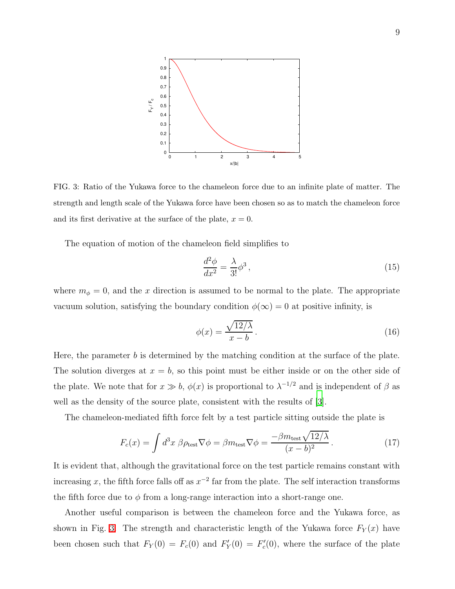

<span id="page-8-0"></span>FIG. 3: Ratio of the Yukawa force to the chameleon force due to an infinite plate of matter. The strength and length scale of the Yukawa force have been chosen so as to match the chameleon force and its first derivative at the surface of the plate,  $x = 0$ .

The equation of motion of the chameleon field simplifies to

$$
\frac{d^2\phi}{dx^2} = \frac{\lambda}{3!}\phi^3\,,\tag{15}
$$

where  $m_{\phi} = 0$ , and the x direction is assumed to be normal to the plate. The appropriate vacuum solution, satisfying the boundary condition  $\phi(\infty) = 0$  at positive infinity, is

$$
\phi(x) = \frac{\sqrt{12/\lambda}}{x - b} \,. \tag{16}
$$

Here, the parameter  $b$  is determined by the matching condition at the surface of the plate. The solution diverges at  $x = b$ , so this point must be either inside or on the other side of the plate. We note that for  $x \gg b$ ,  $\phi(x)$  is proportional to  $\lambda^{-1/2}$  and is independent of  $\beta$  as well as the density of the source plate, consistent with the results of  $[3]$ .

The chameleon-mediated fifth force felt by a test particle sitting outside the plate is

$$
F_c(x) = \int d^3x \ \beta \rho_{\text{test}} \nabla \phi = \beta m_{\text{test}} \nabla \phi = \frac{-\beta m_{\text{test}} \sqrt{12/\lambda}}{(x - b)^2} \,. \tag{17}
$$

It is evident that, although the gravitational force on the test particle remains constant with increasing x, the fifth force falls off as  $x^{-2}$  far from the plate. The self interaction transforms the fifth force due to  $\phi$  from a long-range interaction into a short-range one.

Another useful comparison is between the chameleon force and the Yukawa force, as shown in Fig. [3.](#page-8-0) The strength and characteristic length of the Yukawa force  $F_Y(x)$  have been chosen such that  $F_Y(0) = F_c(0)$  and  $F'_Y$  $Y'_Y(0) = F'_c$  $c'(0)$ , where the surface of the plate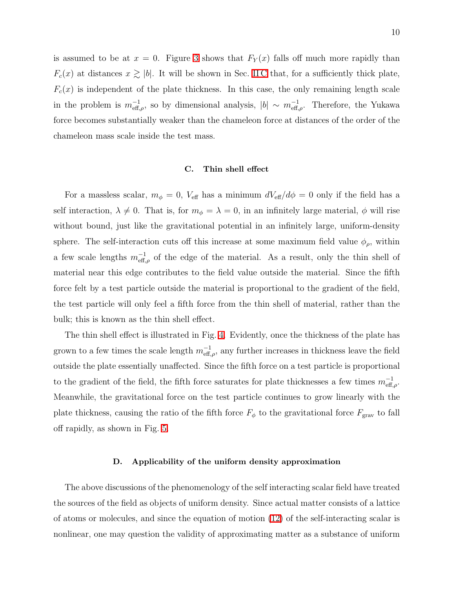is assumed to be at  $x = 0$ . Figure [3](#page-8-0) shows that  $F_Y(x)$  falls off much more rapidly than  $F_c(x)$  at distances  $x \geq |b|$ . It will be shown in Sec. IIC that, for a sufficiently thick plate,  $F_c(x)$  is independent of the plate thickness. In this case, the only remaining length scale in the problem is  $m_{\text{eff},\rho}^{-1}$ , so by dimensional analysis,  $|b| \sim m_{\text{eff},\rho}^{-1}$ . Therefore, the Yukawa force becomes substantially weaker than the chameleon force at distances of the order of the chameleon mass scale inside the test mass.

## <span id="page-9-0"></span>C. Thin shell effect

For a massless scalar,  $m_{\phi} = 0$ ,  $V_{\text{eff}}$  has a minimum  $dV_{\text{eff}}/d\phi = 0$  only if the field has a self interaction,  $\lambda \neq 0$ . That is, for  $m_{\phi} = \lambda = 0$ , in an infinitely large material,  $\phi$  will rise without bound, just like the gravitational potential in an infinitely large, uniform-density sphere. The self-interaction cuts off this increase at some maximum field value  $\phi_{\rho}$ , within a few scale lengths  $m_{\text{eff},\rho}^{-1}$  of the edge of the material. As a result, only the thin shell of material near this edge contributes to the field value outside the material. Since the fifth force felt by a test particle outside the material is proportional to the gradient of the field, the test particle will only feel a fifth force from the thin shell of material, rather than the bulk; this is known as the thin shell effect.

The thin shell effect is illustrated in Fig. [4.](#page-10-0) Evidently, once the thickness of the plate has grown to a few times the scale length  $m_{\text{eff},\rho}^{-1}$ , any further increases in thickness leave the field outside the plate essentially unaffected. Since the fifth force on a test particle is proportional to the gradient of the field, the fifth force saturates for plate thicknesses a few times  $m_{\text{eff},\rho}^{-1}$ . Meanwhile, the gravitational force on the test particle continues to grow linearly with the plate thickness, causing the ratio of the fifth force  $F_{\phi}$  to the gravitational force  $F_{\text{grav}}$  to fall off rapidly, as shown in Fig. [5.](#page-11-1)

## D. Applicability of the uniform density approximation

The above discussions of the phenomenology of the self interacting scalar field have treated the sources of the field as objects of uniform density. Since actual matter consists of a lattice of atoms or molecules, and since the equation of motion [\(12\)](#page-7-1) of the self-interacting scalar is nonlinear, one may question the validity of approximating matter as a substance of uniform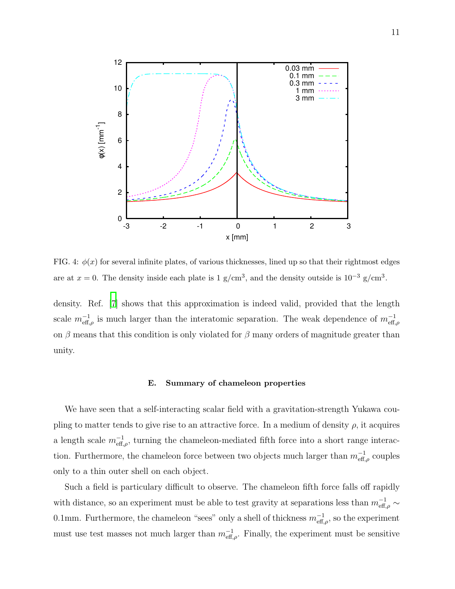

<span id="page-10-0"></span>FIG. 4:  $\phi(x)$  for several infinite plates, of various thicknesses, lined up so that their rightmost edges are at  $x = 0$ . The density inside each plate is 1 g/cm<sup>3</sup>, and the density outside is 10<sup>-3</sup> g/cm<sup>3</sup>.

density. Ref. [\[7\]](#page-19-7) shows that this approximation is indeed valid, provided that the length scale  $m_{\text{eff},\rho}^{-1}$  is much larger than the interatomic separation. The weak dependence of  $m_{\text{eff},\rho}^{-1}$ on  $\beta$  means that this condition is only violated for  $\beta$  many orders of magnitude greater than unity.

#### E. Summary of chameleon properties

We have seen that a self-interacting scalar field with a gravitation-strength Yukawa coupling to matter tends to give rise to an attractive force. In a medium of density  $\rho$ , it acquires a length scale  $m_{\text{eff},\rho}^{-1}$ , turning the chameleon-mediated fifth force into a short range interaction. Furthermore, the chameleon force between two objects much larger than  $m_{\text{eff},\rho}^{-1}$  couples only to a thin outer shell on each object.

Such a field is particulary difficult to observe. The chameleon fifth force falls off rapidly with distance, so an experiment must be able to test gravity at separations less than  $m_{\text{eff},\rho}^{-1} \sim$ 0.1mm. Furthermore, the chameleon "sees" only a shell of thickness  $m_{\text{eff},\rho}^{-1}$ , so the experiment must use test masses not much larger than  $m_{\text{eff},\rho}^{-1}$ . Finally, the experiment must be sensitive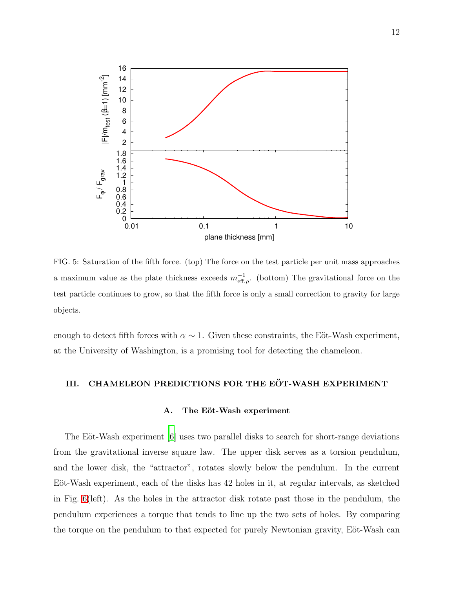

<span id="page-11-1"></span>FIG. 5: Saturation of the fifth force. (top) The force on the test particle per unit mass approaches a maximum value as the plate thickness exceeds  $m_{\text{eff},\rho}^{-1}$ . (bottom) The gravitational force on the test particle continues to grow, so that the fifth force is only a small correction to gravity for large objects.

<span id="page-11-0"></span>enough to detect fifth forces with  $\alpha \sim 1$ . Given these constraints, the Eöt-Wash experiment, at the University of Washington, is a promising tool for detecting the chameleon.

# III. CHAMELEON PREDICTIONS FOR THE EÖT-WASH EXPERIMENT

## A. The Eöt-Wash experiment

The Eöt-Wash experiment  $[6]$  uses two parallel disks to search for short-range deviations from the gravitational inverse square law. The upper disk serves as a torsion pendulum, and the lower disk, the "attractor", rotates slowly below the pendulum. In the current Eöt-Wash experiment, each of the disks has 42 holes in it, at regular intervals, as sketched in Fig. [6\(](#page-12-0)left). As the holes in the attractor disk rotate past those in the pendulum, the pendulum experiences a torque that tends to line up the two sets of holes. By comparing the torque on the pendulum to that expected for purely Newtonian gravity, Eöt-Wash can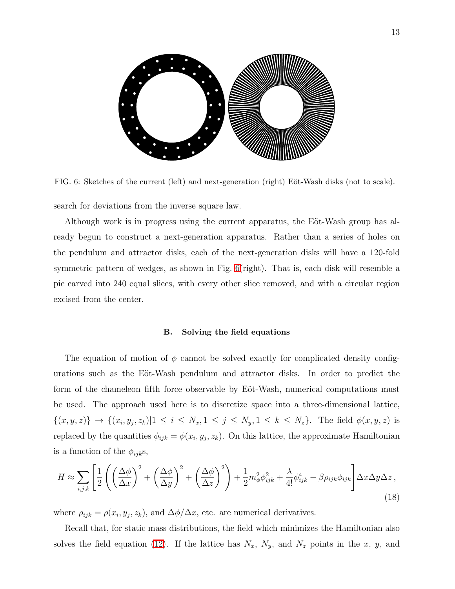

<span id="page-12-0"></span>FIG. 6: Sketches of the current (left) and next-generation (right) Eöt-Wash disks (not to scale). search for deviations from the inverse square law.

Although work is in progress using the current apparatus, the E $\ddot{o}t$ -Wash group has already begun to construct a next-generation apparatus. Rather than a series of holes on the pendulum and attractor disks, each of the next-generation disks will have a 120-fold symmetric pattern of wedges, as shown in Fig. [6\(](#page-12-0)right). That is, each disk will resemble a pie carved into 240 equal slices, with every other slice removed, and with a circular region excised from the center.

#### B. Solving the field equations

The equation of motion of  $\phi$  cannot be solved exactly for complicated density configurations such as the Eöt-Wash pendulum and attractor disks. In order to predict the form of the chameleon fifth force observable by Eöt-Wash, numerical computations must be used. The approach used here is to discretize space into a three-dimensional lattice,  $\{(x, y, z)\}\rightarrow \{(x_i, y_j, z_k)|1 \leq i \leq N_x, 1 \leq j \leq N_y, 1 \leq k \leq N_z\}.$  The field  $\phi(x, y, z)$  is replaced by the quantities  $\phi_{ijk} = \phi(x_i, y_j, z_k)$ . On this lattice, the approximate Hamiltonian is a function of the  $\phi_{ijk}$ s,

$$
H \approx \sum_{i,j,k} \left[ \frac{1}{2} \left( \left( \frac{\Delta \phi}{\Delta x} \right)^2 + \left( \frac{\Delta \phi}{\Delta y} \right)^2 + \left( \frac{\Delta \phi}{\Delta z} \right)^2 \right) + \frac{1}{2} m_\phi^2 \phi_{ijk}^2 + \frac{\lambda}{4!} \phi_{ijk}^4 - \beta \rho_{ijk} \phi_{ijk} \right] \Delta x \Delta y \Delta z,
$$
\n(18)

where  $\rho_{ijk} = \rho(x_i, y_j, z_k)$ , and  $\Delta\phi/\Delta x$ , etc. are numerical derivatives.

Recall that, for static mass distributions, the field which minimizes the Hamiltonian also solves the field equation [\(12\)](#page-7-1). If the lattice has  $N_x$ ,  $N_y$ , and  $N_z$  points in the x, y, and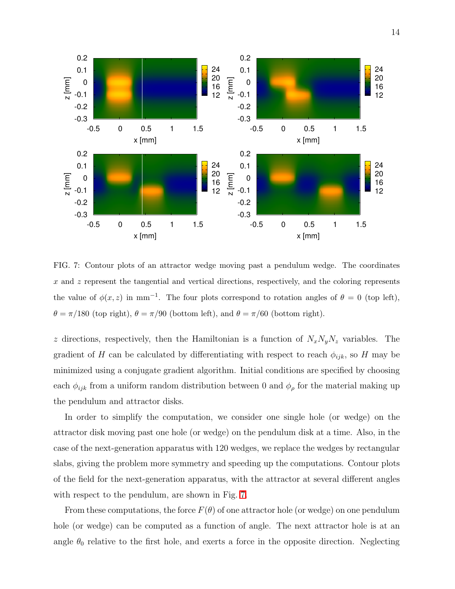

<span id="page-13-0"></span>FIG. 7: Contour plots of an attractor wedge moving past a pendulum wedge. The coordinates  $x$  and  $z$  represent the tangential and vertical directions, respectively, and the coloring represents the value of  $\phi(x, z)$  in mm<sup>-1</sup>. The four plots correspond to rotation angles of  $\theta = 0$  (top left),  $\theta = \pi/180$  (top right),  $\theta = \pi/90$  (bottom left), and  $\theta = \pi/60$  (bottom right).

z directions, respectively, then the Hamiltonian is a function of  $N_xN_yN_z$  variables. The gradient of H can be calculated by differentiating with respect to reach  $\phi_{ijk}$ , so H may be minimized using a conjugate gradient algorithm. Initial conditions are specified by choosing each  $\phi_{ijk}$  from a uniform random distribution between 0 and  $\phi_{\rho}$  for the material making up the pendulum and attractor disks.

In order to simplify the computation, we consider one single hole (or wedge) on the attractor disk moving past one hole (or wedge) on the pendulum disk at a time. Also, in the case of the next-generation apparatus with 120 wedges, we replace the wedges by rectangular slabs, giving the problem more symmetry and speeding up the computations. Contour plots of the field for the next-generation apparatus, with the attractor at several different angles with respect to the pendulum, are shown in Fig. [7.](#page-13-0)

From these computations, the force  $F(\theta)$  of one attractor hole (or wedge) on one pendulum hole (or wedge) can be computed as a function of angle. The next attractor hole is at an angle  $\theta_0$  relative to the first hole, and exerts a force in the opposite direction. Neglecting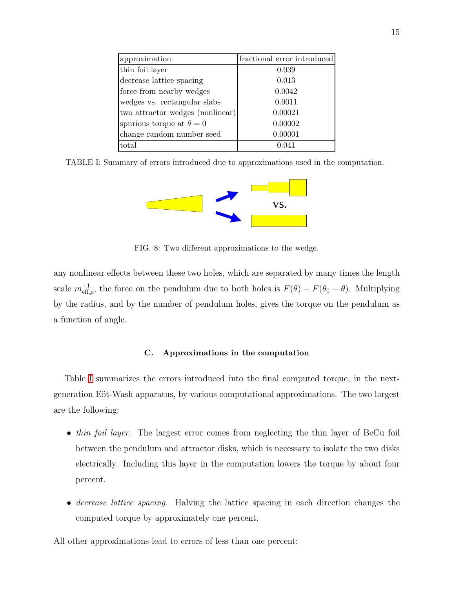| approximation                    | fractional error introduced |
|----------------------------------|-----------------------------|
| thin foil layer                  | 0.039                       |
| decrease lattice spacing         | 0.013                       |
| force from nearby wedges         | 0.0042                      |
| wedges vs. rectangular slabs     | 0.0011                      |
| two attractor wedges (nonlinear) | 0.00021                     |
| spurious torque at $\theta = 0$  | 0.00002                     |
| change random number seed        | 0.00001                     |
| total                            |                             |

<span id="page-14-0"></span>TABLE I: Summary of errors introduced due to approximations used in the computation.



<span id="page-14-1"></span>FIG. 8: Two different approximations to the wedge.

any nonlinear effects between these two holes, which are separated by many times the length scale  $m_{\text{eff},\rho}^{-1}$ , the force on the pendulum due to both holes is  $F(\theta) - F(\theta_0 - \theta)$ . Multiplying by the radius, and by the number of pendulum holes, gives the torque on the pendulum as a function of angle.

# C. Approximations in the computation

Table [I](#page-14-0) summarizes the errors introduced into the final computed torque, in the nextgeneration Eöt-Wash apparatus, by various computational approximations. The two largest are the following:

- *thin foil layer*. The largest error comes from neglecting the thin layer of BeCu foil between the pendulum and attractor disks, which is necessary to isolate the two disks electrically. Including this layer in the computation lowers the torque by about four percent.
- decrease lattice spacing. Halving the lattice spacing in each direction changes the computed torque by approximately one percent.

All other approximations lead to errors of less than one percent: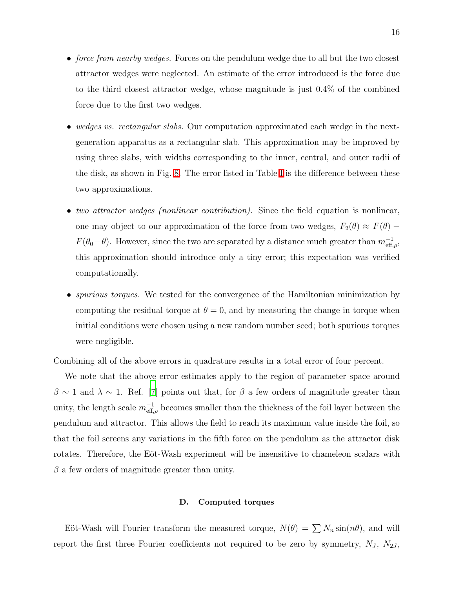- *force from nearby wedges.* Forces on the pendulum wedge due to all but the two closest attractor wedges were neglected. An estimate of the error introduced is the force due to the third closest attractor wedge, whose magnitude is just 0.4% of the combined force due to the first two wedges.
- wedges vs. rectangular slabs. Our computation approximated each wedge in the nextgeneration apparatus as a rectangular slab. This approximation may be improved by using three slabs, with widths corresponding to the inner, central, and outer radii of the disk, as shown in Fig. [8.](#page-14-1) The error listed in Table [I](#page-14-0) is the difference between these two approximations.
- two attractor wedges (nonlinear contribution). Since the field equation is nonlinear, one may object to our approximation of the force from two wedges,  $F_2(\theta) \approx F(\theta) F(\theta_0-\theta)$ . However, since the two are separated by a distance much greater than  $m_{\text{eff},\rho}^{-1}$ , this approximation should introduce only a tiny error; this expectation was verified computationally.
- *spurious torques*. We tested for the convergence of the Hamiltonian minimization by computing the residual torque at  $\theta = 0$ , and by measuring the change in torque when initial conditions were chosen using a new random number seed; both spurious torques were negligible.

Combining all of the above errors in quadrature results in a total error of four percent.

We note that the above error estimates apply to the region of parameter space around  $\beta \sim 1$  and  $\lambda \sim 1$ . Ref. [\[7](#page-19-7)] points out that, for  $\beta$  a few orders of magnitude greater than unity, the length scale  $m_{\text{eff},\rho}^{-1}$  becomes smaller than the thickness of the foil layer between the pendulum and attractor. This allows the field to reach its maximum value inside the foil, so that the foil screens any variations in the fifth force on the pendulum as the attractor disk rotates. Therefore, the Eöt-Wash experiment will be insensitive to chameleon scalars with  $\beta$  a few orders of magnitude greater than unity.

## D. Computed torques

Eöt-Wash will Fourier transform the measured torque,  $N(\theta) = \sum N_n \sin(n\theta)$ , and will report the first three Fourier coefficients not required to be zero by symmetry,  $N_J$ ,  $N_{2J}$ ,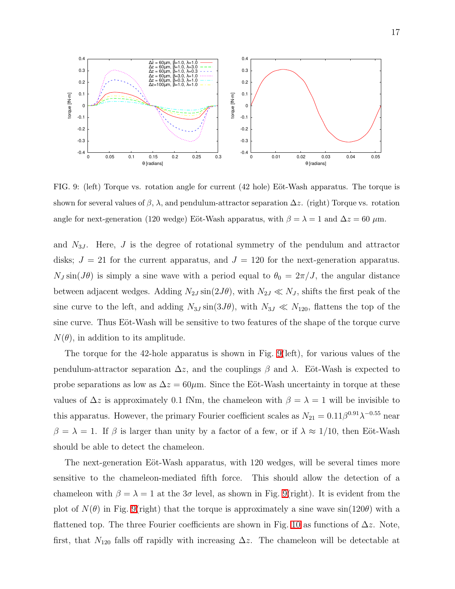

<span id="page-16-0"></span>FIG. 9: (left) Torque vs. rotation angle for current  $(42 \text{ hole})$  Eöt-Wash apparatus. The torque is shown for several values of  $\beta$ ,  $\lambda$ , and pendulum-attractor separation  $\Delta z$ . (right) Torque vs. rotation angle for next-generation (120 wedge) Eöt-Wash apparatus, with  $\beta = \lambda = 1$  and  $\Delta z = 60 \mu$ m.

and  $N_{3J}$ . Here, J is the degree of rotational symmetry of the pendulum and attractor disks;  $J = 21$  for the current apparatus, and  $J = 120$  for the next-generation apparatus.  $N_J \sin(J\theta)$  is simply a sine wave with a period equal to  $\theta_0 = 2\pi/J$ , the angular distance between adjacent wedges. Adding  $N_{2J} \sin(2J\theta)$ , with  $N_{2J} \ll N_J$ , shifts the first peak of the sine curve to the left, and adding  $N_{3J} \sin(3J\theta)$ , with  $N_{3J} \ll N_{120}$ , flattens the top of the sine curve. Thus Eöt-Wash will be sensitive to two features of the shape of the torque curve  $N(\theta)$ , in addition to its amplitude.

The torque for the 42-hole apparatus is shown in Fig. [9\(](#page-16-0)left), for various values of the pendulum-attractor separation  $\Delta z$ , and the couplings  $\beta$  and  $\lambda$ . Eöt-Wash is expected to probe separations as low as  $\Delta z = 60 \mu$ m. Since the Eöt-Wash uncertainty in torque at these values of  $\Delta z$  is approximately 0.1 fNm, the chameleon with  $\beta = \lambda = 1$  will be invisible to this apparatus. However, the primary Fourier coefficient scales as  $N_{21} = 0.11 \beta^{0.91} \lambda^{-0.55}$  near  $\beta = \lambda = 1$ . If  $\beta$  is larger than unity by a factor of a few, or if  $\lambda \approx 1/10$ , then Eöt-Wash should be able to detect the chameleon.

The next-generation Eöt-Wash apparatus, with 120 wedges, will be several times more sensitive to the chameleon-mediated fifth force. This should allow the detection of a chameleon with  $\beta = \lambda = 1$  at the 3 $\sigma$  level, as shown in Fig. [9\(](#page-16-0)right). It is evident from the plot of  $N(\theta)$  in Fig. [9\(](#page-16-0)right) that the torque is approximately a sine wave  $\sin(120\theta)$  with a flattened top. The three Fourier coefficients are shown in Fig. [10](#page-17-1) as functions of  $\Delta z$ . Note, first, that  $N_{120}$  falls off rapidly with increasing  $\Delta z$ . The chameleon will be detectable at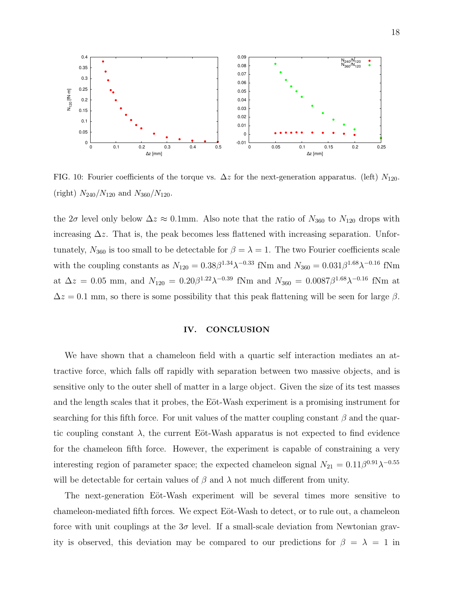

<span id="page-17-1"></span>FIG. 10: Fourier coefficients of the torque vs.  $\Delta z$  for the next-generation apparatus. (left)  $N_{120}$ . (right)  $N_{240}/N_{120}$  and  $N_{360}/N_{120}$ .

the  $2\sigma$  level only below  $\Delta z \approx 0.1$ mm. Also note that the ratio of  $N_{360}$  to  $N_{120}$  drops with increasing  $\Delta z$ . That is, the peak becomes less flattened with increasing separation. Unfortunately,  $N_{360}$  is too small to be detectable for  $\beta = \lambda = 1$ . The two Fourier coefficients scale with the coupling constants as  $N_{120} = 0.38 \beta^{1.34} \lambda^{-0.33}$  fNm and  $N_{360} = 0.031 \beta^{1.68} \lambda^{-0.16}$  fNm at  $\Delta z = 0.05$  mm, and  $N_{120} = 0.20 \beta^{1.22} \lambda^{-0.39}$  fNm and  $N_{360} = 0.0087 \beta^{1.68} \lambda^{-0.16}$  fNm at  $\Delta z = 0.1$  mm, so there is some possibility that this peak flattening will be seen for large  $\beta$ .

## <span id="page-17-0"></span>IV. CONCLUSION

We have shown that a chameleon field with a quartic self interaction mediates an attractive force, which falls off rapidly with separation between two massive objects, and is sensitive only to the outer shell of matter in a large object. Given the size of its test masses and the length scales that it probes, the Eöt-Wash experiment is a promising instrument for searching for this fifth force. For unit values of the matter coupling constant  $\beta$  and the quartic coupling constant  $\lambda$ , the current Eöt-Wash apparatus is not expected to find evidence for the chameleon fifth force. However, the experiment is capable of constraining a very interesting region of parameter space; the expected chameleon signal  $N_{21} = 0.11 \beta^{0.91} \lambda^{-0.55}$ will be detectable for certain values of  $\beta$  and  $\lambda$  not much different from unity.

The next-generation Eöt-Wash experiment will be several times more sensitive to chameleon-mediated fifth forces. We expect Eöt-Wash to detect, or to rule out, a chameleon force with unit couplings at the  $3\sigma$  level. If a small-scale deviation from Newtonian gravity is observed, this deviation may be compared to our predictions for  $\beta = \lambda = 1$  in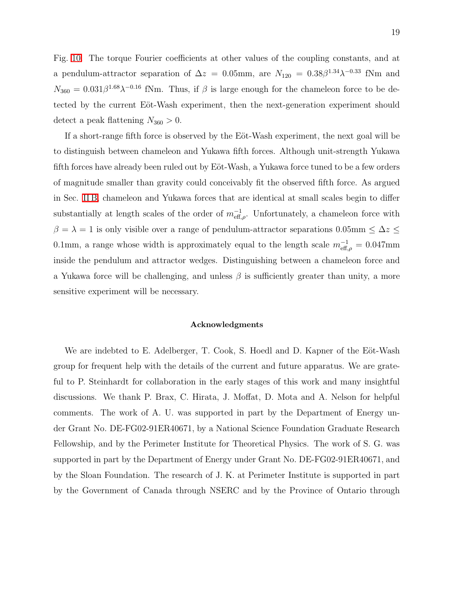Fig. [10.](#page-17-1) The torque Fourier coefficients at other values of the coupling constants, and at a pendulum-attractor separation of  $\Delta z = 0.05$ mm, are  $N_{120} = 0.38\beta^{1.34}\lambda^{-0.33}$  fNm and  $N_{360} = 0.031\beta^{1.68}\lambda^{-0.16}$  fNm. Thus, if  $\beta$  is large enough for the chameleon force to be detected by the current Eöt-Wash experiment, then the next-generation experiment should detect a peak flattening  $N_{360} > 0$ .

If a short-range fifth force is observed by the Eöt-Wash experiment, the next goal will be to distinguish between chameleon and Yukawa fifth forces. Although unit-strength Yukawa fifth forces have already been ruled out by Eöt-Wash, a Yukawa force tuned to be a few orders of magnitude smaller than gravity could conceivably fit the observed fifth force. As argued in Sec. [II B,](#page-6-0) chameleon and Yukawa forces that are identical at small scales begin to differ substantially at length scales of the order of  $m_{\text{eff},\rho}^{-1}$ . Unfortunately, a chameleon force with  $\beta = \lambda = 1$  is only visible over a range of pendulum-attractor separations 0.05mm  $\leq \Delta z \leq$ 0.1mm, a range whose width is approximately equal to the length scale  $m_{\text{eff},\rho}^{-1} = 0.047 \text{mm}$ inside the pendulum and attractor wedges. Distinguishing between a chameleon force and a Yukawa force will be challenging, and unless  $\beta$  is sufficiently greater than unity, a more sensitive experiment will be necessary.

#### Acknowledgments

We are indebted to E. Adelberger, T. Cook, S. Hoedl and D. Kapner of the Eöt-Wash group for frequent help with the details of the current and future apparatus. We are grateful to P. Steinhardt for collaboration in the early stages of this work and many insightful discussions. We thank P. Brax, C. Hirata, J. Moffat, D. Mota and A. Nelson for helpful comments. The work of A. U. was supported in part by the Department of Energy under Grant No. DE-FG02-91ER40671, by a National Science Foundation Graduate Research Fellowship, and by the Perimeter Institute for Theoretical Physics. The work of S. G. was supported in part by the Department of Energy under Grant No. DE-FG02-91ER40671, and by the Sloan Foundation. The research of J. K. at Perimeter Institute is supported in part by the Government of Canada through NSERC and by the Province of Ontario through